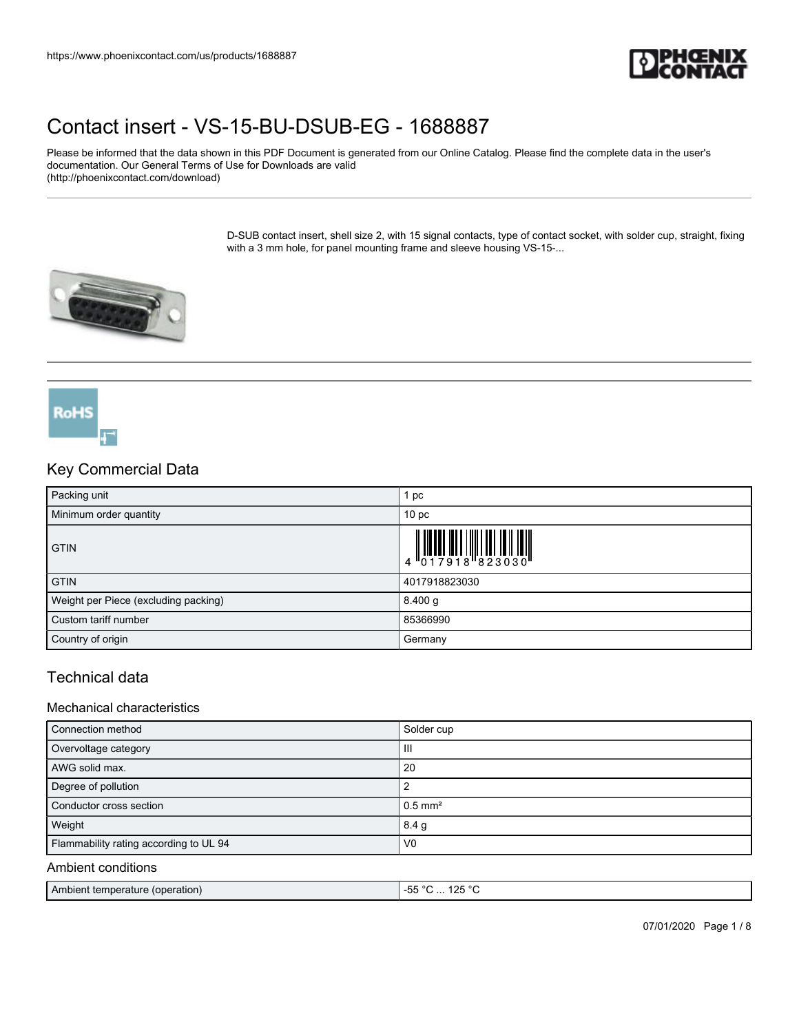

Please be informed that the data shown in this PDF Document is generated from our Online Catalog. Please find the complete data in the user's documentation. Our General Terms of Use for Downloads are valid (http://phoenixcontact.com/download)

> D-SUB contact insert, shell size 2, with 15 signal contacts, type of contact socket, with solder cup, straight, fixing with a 3 mm hole, for panel mounting frame and sleeve housing VS-15-...



**RoHS** 

# Key Commercial Data Packing unit 1 pc Minimum order quantity **10** pc **GTIN**  $\overline{\mathbf{4}}$ GTIN 2017918823030 Weight per Piece (excluding packing) 8.400 g Custom tariff number 85366990 Country of origin Germany Country of origin Germany Country of origin Country of  $\sim$

### Technical data

#### Mechanical characteristics

| Connection method                      | Solder cup            |
|----------------------------------------|-----------------------|
| Overvoltage category                   | Ш                     |
| AWG solid max.                         | 20                    |
| Degree of pollution                    |                       |
| Conductor cross section                | $0.5$ mm <sup>2</sup> |
| Weight                                 | 8.4 <sub>g</sub>      |
| Flammability rating according to UL 94 | V <sub>0</sub>        |

#### Ambient conditions

| I Ambient temperature (operation) | 1つに<br>$\sim$<br>$\sim$<br>$\sim$<br>$\sim$<br>- Ju<br>.<br>$\sim$ |
|-----------------------------------|--------------------------------------------------------------------|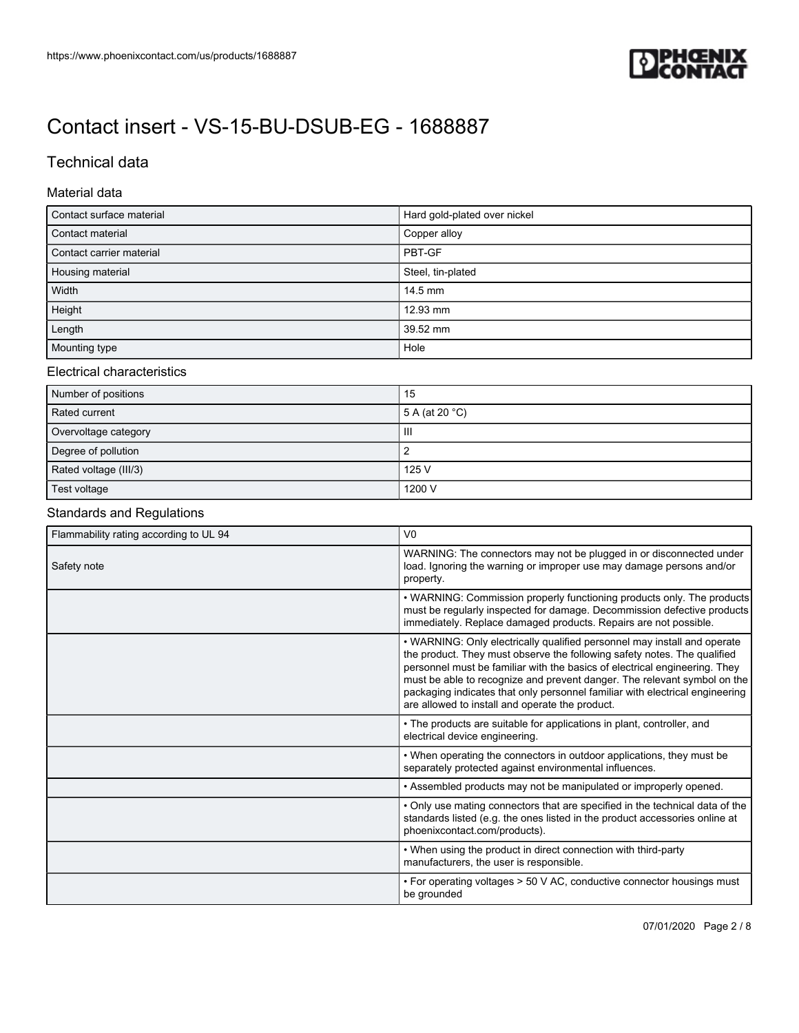

## Technical data

#### Material data

| Contact surface material | Hard gold-plated over nickel |  |
|--------------------------|------------------------------|--|
| Contact material         | Copper alloy                 |  |
| Contact carrier material | PBT-GF                       |  |
| Housing material         | Steel, tin-plated            |  |
| Width                    | 14.5 mm                      |  |
| Height                   | 12.93 mm                     |  |
| Length                   | 39.52 mm                     |  |
| Mounting type            | Hole                         |  |

#### Electrical characteristics

| Number of positions   | 15                       |
|-----------------------|--------------------------|
| Rated current         | 5 A (at 20 $^{\circ}$ C) |
| Overvoltage category  | Ш                        |
| Degree of pollution   |                          |
| Rated voltage (III/3) | 125 V                    |
| Test voltage          | 1200 V                   |

### Standards and Regulations

| Flammability rating according to UL 94 | V <sub>0</sub>                                                                                                                                                                                                                                                                                                                                                                                                                                    |  |  |
|----------------------------------------|---------------------------------------------------------------------------------------------------------------------------------------------------------------------------------------------------------------------------------------------------------------------------------------------------------------------------------------------------------------------------------------------------------------------------------------------------|--|--|
| Safety note                            | WARNING: The connectors may not be plugged in or disconnected under<br>load. Ignoring the warning or improper use may damage persons and/or<br>property.                                                                                                                                                                                                                                                                                          |  |  |
|                                        | • WARNING: Commission properly functioning products only. The products<br>must be regularly inspected for damage. Decommission defective products<br>immediately. Replace damaged products. Repairs are not possible.                                                                                                                                                                                                                             |  |  |
|                                        | • WARNING: Only electrically qualified personnel may install and operate<br>the product. They must observe the following safety notes. The qualified<br>personnel must be familiar with the basics of electrical engineering. They<br>must be able to recognize and prevent danger. The relevant symbol on the<br>packaging indicates that only personnel familiar with electrical engineering<br>are allowed to install and operate the product. |  |  |
|                                        | • The products are suitable for applications in plant, controller, and<br>electrical device engineering.                                                                                                                                                                                                                                                                                                                                          |  |  |
|                                        | • When operating the connectors in outdoor applications, they must be<br>separately protected against environmental influences.                                                                                                                                                                                                                                                                                                                   |  |  |
|                                        | . Assembled products may not be manipulated or improperly opened.                                                                                                                                                                                                                                                                                                                                                                                 |  |  |
|                                        | • Only use mating connectors that are specified in the technical data of the<br>standards listed (e.g. the ones listed in the product accessories online at<br>phoenixcontact.com/products).                                                                                                                                                                                                                                                      |  |  |
|                                        | • When using the product in direct connection with third-party<br>manufacturers, the user is responsible.                                                                                                                                                                                                                                                                                                                                         |  |  |
|                                        | • For operating voltages > 50 V AC, conductive connector housings must<br>be grounded                                                                                                                                                                                                                                                                                                                                                             |  |  |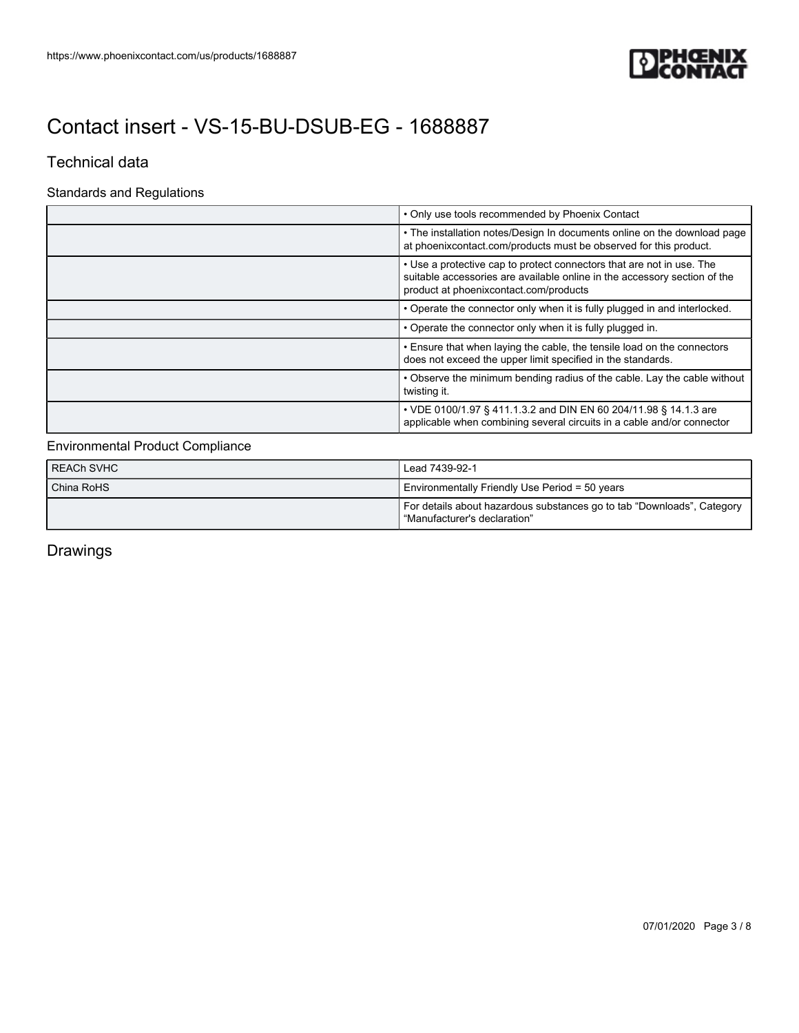

### Technical data

#### Standards and Regulations

|  | • Only use tools recommended by Phoenix Contact                                                                                                                                              |  |
|--|----------------------------------------------------------------------------------------------------------------------------------------------------------------------------------------------|--|
|  | • The installation notes/Design In documents online on the download page<br>at phoenixcontact.com/products must be observed for this product.                                                |  |
|  | • Use a protective cap to protect connectors that are not in use. The<br>suitable accessories are available online in the accessory section of the<br>product at phoenixcontact.com/products |  |
|  | • Operate the connector only when it is fully plugged in and interlocked.                                                                                                                    |  |
|  | • Operate the connector only when it is fully plugged in.                                                                                                                                    |  |
|  | . Ensure that when laying the cable, the tensile load on the connectors<br>does not exceed the upper limit specified in the standards.                                                       |  |
|  | • Observe the minimum bending radius of the cable. Lay the cable without<br>twisting it.                                                                                                     |  |
|  | • VDE 0100/1.97 § 411.1.3.2 and DIN EN 60 204/11.98 § 14.1.3 are<br>applicable when combining several circuits in a cable and/or connector                                                   |  |

### Environmental Product Compliance

| <b>REACH SVHC</b> | Lead 7439-92-1                                                                                           |
|-------------------|----------------------------------------------------------------------------------------------------------|
| China RoHS        | Environmentally Friendly Use Period = 50 years                                                           |
|                   | For details about hazardous substances go to tab "Downloads", Category<br>l "Manufacturer's declaration" |

Drawings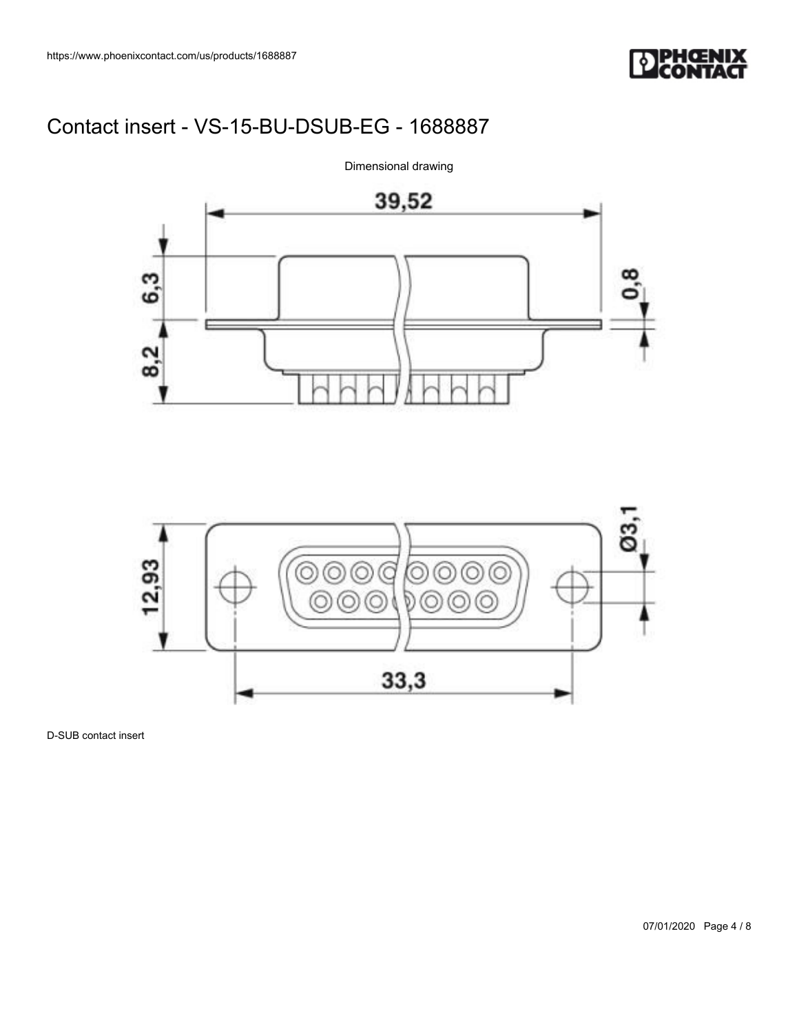





D-SUB contact insert

Dimensional drawing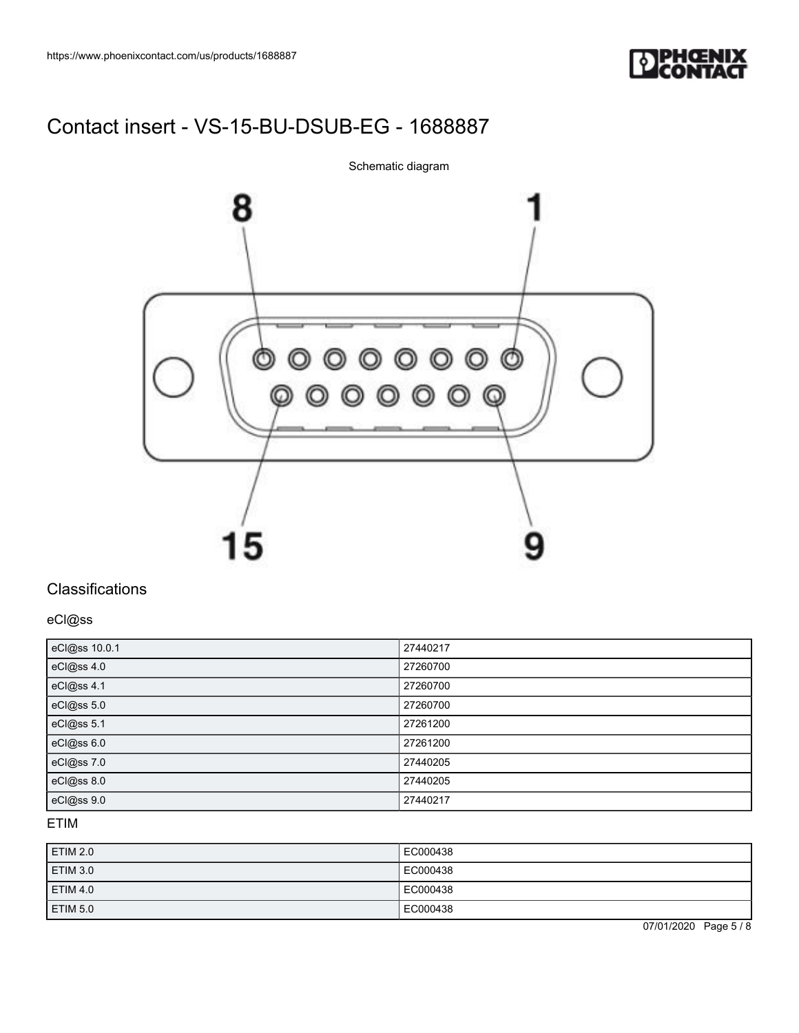

Schematic diagram



### **Classifications**

eCl@ss

| eCl@ss 10.0.1 | 27440217 |
|---------------|----------|
| eCl@ss 4.0    | 27260700 |
| eCl@ss 4.1    | 27260700 |
| eCl@ss 5.0    | 27260700 |
| eCl@ss 5.1    | 27261200 |
| eCl@ss 6.0    | 27261200 |
| eCl@ss 7.0    | 27440205 |
| eCl@ss 8.0    | 27440205 |
| eCl@ss 9.0    | 27440217 |

#### ETIM

| <b>ETIM 2.0</b> | EC000438 |
|-----------------|----------|
| <b>ETIM 3.0</b> | EC000438 |
| <b>ETIM 4.0</b> | EC000438 |
| ETIM 5.0        | EC000438 |

07/01/2020 Page 5 / 8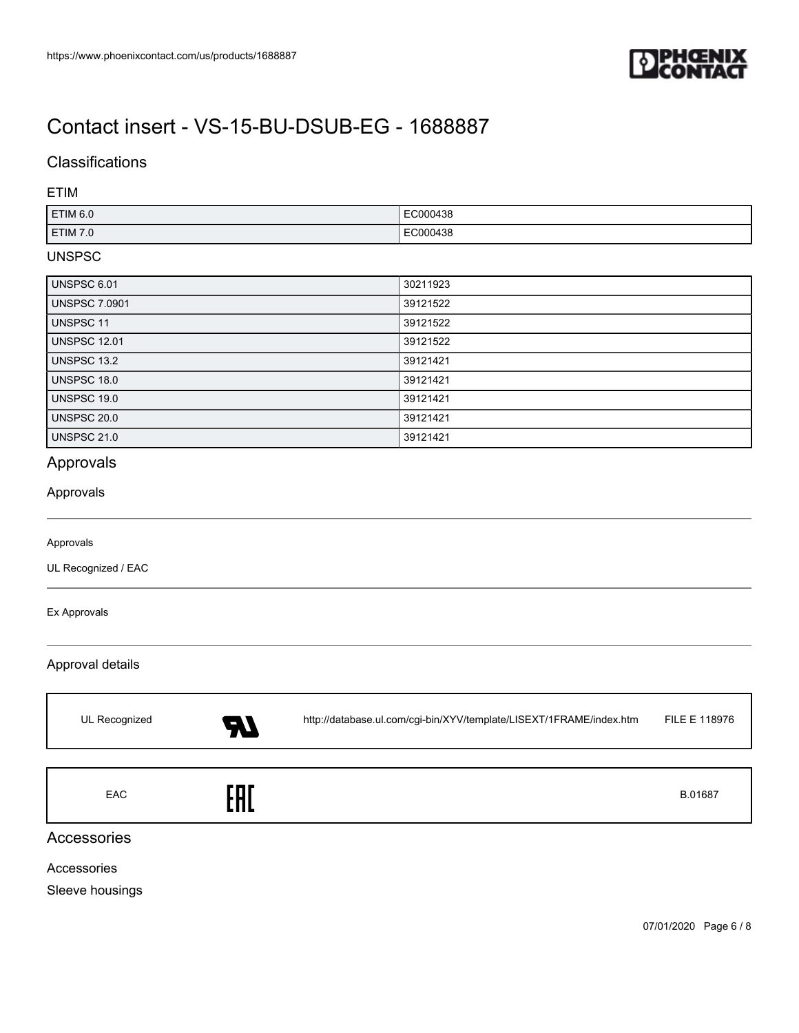

### **Classifications**

#### ETIM

| ETIM 6.0 | EC000438 |
|----------|----------|
| ETIM 7.0 | EC000438 |

#### UNSPSC

| UNSPSC 6.01          | 30211923 |
|----------------------|----------|
| <b>UNSPSC 7.0901</b> | 39121522 |
| <b>UNSPSC 11</b>     | 39121522 |
| <b>UNSPSC 12.01</b>  | 39121522 |
| UNSPSC 13.2          | 39121421 |
| UNSPSC 18.0          | 39121421 |
| UNSPSC 19.0          | 39121421 |
| <b>UNSPSC 20.0</b>   | 39121421 |
| <b>UNSPSC 21.0</b>   | 39121421 |

### Approvals

#### Approvals

#### Approvals

UL Recognized / EAC

#### Ex Approvals

#### Approval details

| UL Recognized | 77    | http://database.ul.com/cgi-bin/XYV/template/LISEXT/1FRAME/index.htm | FILE E 118976 |
|---------------|-------|---------------------------------------------------------------------|---------------|
| EAC           | E O F |                                                                     | B.01687       |

#### Accessories

Accessories

Sleeve housings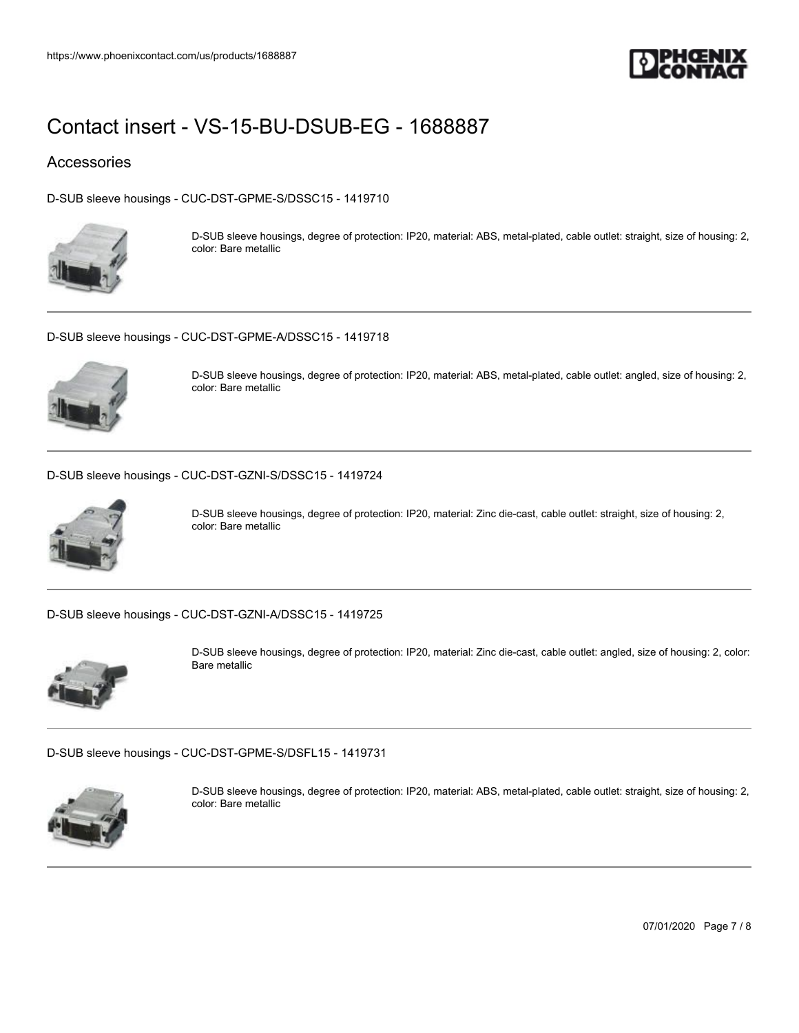

### Accessories

[D-SUB sleeve housings - CUC-DST-GPME-S/DSSC15 - 1419710](https://www.phoenixcontact.com/us/products/1419710)



D-SUB sleeve housings, degree of protection: IP20, material: ABS, metal-plated, cable outlet: straight, size of housing: 2, color: Bare metallic

[D-SUB sleeve housings - CUC-DST-GPME-A/DSSC15 - 1419718](https://www.phoenixcontact.com/us/products/1419718)



D-SUB sleeve housings, degree of protection: IP20, material: ABS, metal-plated, cable outlet: angled, size of housing: 2, color: Bare metallic

[D-SUB sleeve housings - CUC-DST-GZNI-S/DSSC15 - 1419724](https://www.phoenixcontact.com/us/products/1419724)



D-SUB sleeve housings, degree of protection: IP20, material: Zinc die-cast, cable outlet: straight, size of housing: 2, color: Bare metallic

[D-SUB sleeve housings - CUC-DST-GZNI-A/DSSC15 - 1419725](https://www.phoenixcontact.com/us/products/1419725)



D-SUB sleeve housings, degree of protection: IP20, material: Zinc die-cast, cable outlet: angled, size of housing: 2, color: Bare metallic

[D-SUB sleeve housings - CUC-DST-GPME-S/DSFL15 - 1419731](https://www.phoenixcontact.com/us/products/1419731)



D-SUB sleeve housings, degree of protection: IP20, material: ABS, metal-plated, cable outlet: straight, size of housing: 2, color: Bare metallic